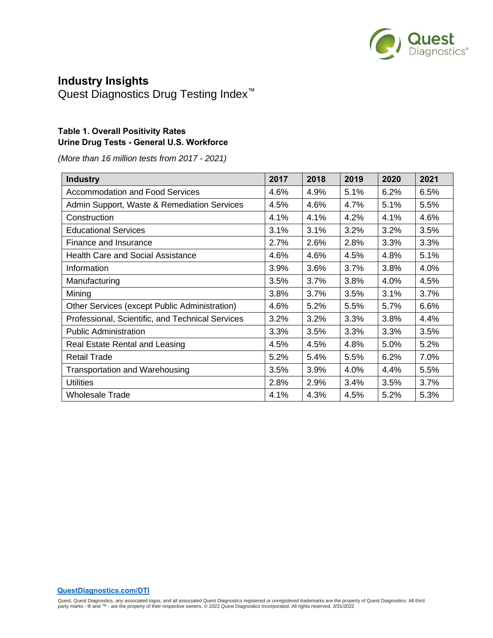

# **Industry Insights**

Quest Diagnostics Drug Testing Index<sup>™</sup>

#### **Table 1. Overall Positivity Rates Urine Drug Tests - General U.S. Workforce**

*(More than 16 million tests from 2017 - 2021)*

| <b>Industry</b>                                  | 2017 | 2018 | 2019 | 2020 | 2021 |
|--------------------------------------------------|------|------|------|------|------|
| <b>Accommodation and Food Services</b>           | 4.6% | 4.9% | 5.1% | 6.2% | 6.5% |
| Admin Support, Waste & Remediation Services      | 4.5% | 4.6% | 4.7% | 5.1% | 5.5% |
| Construction                                     | 4.1% | 4.1% | 4.2% | 4.1% | 4.6% |
| <b>Educational Services</b>                      | 3.1% | 3.1% | 3.2% | 3.2% | 3.5% |
| Finance and Insurance                            | 2.7% | 2.6% | 2.8% | 3.3% | 3.3% |
| <b>Health Care and Social Assistance</b>         | 4.6% | 4.6% | 4.5% | 4.8% | 5.1% |
| Information                                      | 3.9% | 3.6% | 3.7% | 3.8% | 4.0% |
| Manufacturing                                    | 3.5% | 3.7% | 3.8% | 4.0% | 4.5% |
| Mining                                           | 3.8% | 3.7% | 3.5% | 3.1% | 3.7% |
| Other Services (except Public Administration)    | 4.6% | 5.2% | 5.5% | 5.7% | 6.6% |
| Professional, Scientific, and Technical Services | 3.2% | 3.2% | 3.3% | 3.8% | 4.4% |
| <b>Public Administration</b>                     | 3.3% | 3.5% | 3.3% | 3.3% | 3.5% |
| Real Estate Rental and Leasing                   | 4.5% | 4.5% | 4.8% | 5.0% | 5.2% |
| <b>Retail Trade</b>                              | 5.2% | 5.4% | 5.5% | 6.2% | 7.0% |
| <b>Transportation and Warehousing</b>            | 3.5% | 3.9% | 4.0% | 4.4% | 5.5% |
| <b>Utilities</b>                                 | 2.8% | 2.9% | 3.4% | 3.5% | 3.7% |
| <b>Wholesale Trade</b>                           | 4.1% | 4.3% | 4.5% | 5.2% | 5.3% |

**QuestDiagnostics.com/DTI**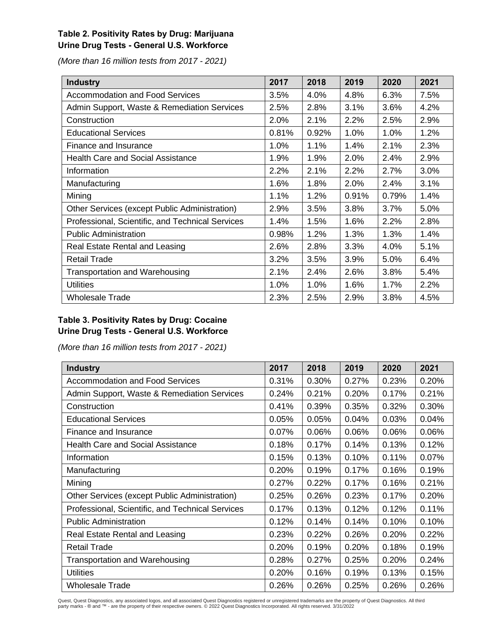## **Table 2. Positivity Rates by Drug: Marijuana Urine Drug Tests - General U.S. Workforce**

*(More than 16 million tests from 2017 - 2021)*

| <b>Industry</b>                                  | 2017  | 2018  | 2019  | 2020  | 2021 |
|--------------------------------------------------|-------|-------|-------|-------|------|
| <b>Accommodation and Food Services</b>           | 3.5%  | 4.0%  | 4.8%  | 6.3%  | 7.5% |
| Admin Support, Waste & Remediation Services      | 2.5%  | 2.8%  | 3.1%  | 3.6%  | 4.2% |
| Construction                                     | 2.0%  | 2.1%  | 2.2%  | 2.5%  | 2.9% |
| <b>Educational Services</b>                      | 0.81% | 0.92% | 1.0%  | 1.0%  | 1.2% |
| Finance and Insurance                            | 1.0%  | 1.1%  | 1.4%  | 2.1%  | 2.3% |
| <b>Health Care and Social Assistance</b>         | 1.9%  | 1.9%  | 2.0%  | 2.4%  | 2.9% |
| Information                                      | 2.2%  | 2.1%  | 2.2%  | 2.7%  | 3.0% |
| Manufacturing                                    | 1.6%  | 1.8%  | 2.0%  | 2.4%  | 3.1% |
| Mining                                           | 1.1%  | 1.2%  | 0.91% | 0.79% | 1.4% |
| Other Services (except Public Administration)    | 2.9%  | 3.5%  | 3.8%  | 3.7%  | 5.0% |
| Professional, Scientific, and Technical Services | 1.4%  | 1.5%  | 1.6%  | 2.2%  | 2.8% |
| <b>Public Administration</b>                     | 0.98% | 1.2%  | 1.3%  | 1.3%  | 1.4% |
| Real Estate Rental and Leasing                   | 2.6%  | 2.8%  | 3.3%  | 4.0%  | 5.1% |
| <b>Retail Trade</b>                              | 3.2%  | 3.5%  | 3.9%  | 5.0%  | 6.4% |
| <b>Transportation and Warehousing</b>            | 2.1%  | 2.4%  | 2.6%  | 3.8%  | 5.4% |
| <b>Utilities</b>                                 | 1.0%  | 1.0%  | 1.6%  | 1.7%  | 2.2% |
| Wholesale Trade                                  | 2.3%  | 2.5%  | 2.9%  | 3.8%  | 4.5% |

## **Table 3. Positivity Rates by Drug: Cocaine Urine Drug Tests - General U.S. Workforce**

*(More than 16 million tests from 2017 - 2021)*

| <b>Industry</b>                                  | 2017  | 2018  | 2019  | 2020  | 2021  |
|--------------------------------------------------|-------|-------|-------|-------|-------|
| <b>Accommodation and Food Services</b>           | 0.31% | 0.30% | 0.27% | 0.23% | 0.20% |
| Admin Support, Waste & Remediation Services      | 0.24% | 0.21% | 0.20% | 0.17% | 0.21% |
| Construction                                     | 0.41% | 0.39% | 0.35% | 0.32% | 0.30% |
| <b>Educational Services</b>                      | 0.05% | 0.05% | 0.04% | 0.03% | 0.04% |
| Finance and Insurance                            | 0.07% | 0.06% | 0.06% | 0.06% | 0.06% |
| <b>Health Care and Social Assistance</b>         | 0.18% | 0.17% | 0.14% | 0.13% | 0.12% |
| Information                                      | 0.15% | 0.13% | 0.10% | 0.11% | 0.07% |
| Manufacturing                                    | 0.20% | 0.19% | 0.17% | 0.16% | 0.19% |
| Mining                                           | 0.27% | 0.22% | 0.17% | 0.16% | 0.21% |
| Other Services (except Public Administration)    | 0.25% | 0.26% | 0.23% | 0.17% | 0.20% |
| Professional, Scientific, and Technical Services | 0.17% | 0.13% | 0.12% | 0.12% | 0.11% |
| <b>Public Administration</b>                     | 0.12% | 0.14% | 0.14% | 0.10% | 0.10% |
| Real Estate Rental and Leasing                   | 0.23% | 0.22% | 0.26% | 0.20% | 0.22% |
| <b>Retail Trade</b>                              | 0.20% | 0.19% | 0.20% | 0.18% | 0.19% |
| <b>Transportation and Warehousing</b>            | 0.28% | 0.27% | 0.25% | 0.20% | 0.24% |
| <b>Utilities</b>                                 | 0.20% | 0.16% | 0.19% | 0.13% | 0.15% |
| <b>Wholesale Trade</b>                           | 0.26% | 0.26% | 0.25% | 0.26% | 0.26% |

Quest, Quest Diagnostics, any associated logos, and all associated Quest Diagnostics registered or unregistered trademarks are the property of Quest Diagnostics. All third<br>party marks - ® and ™ - are the property of their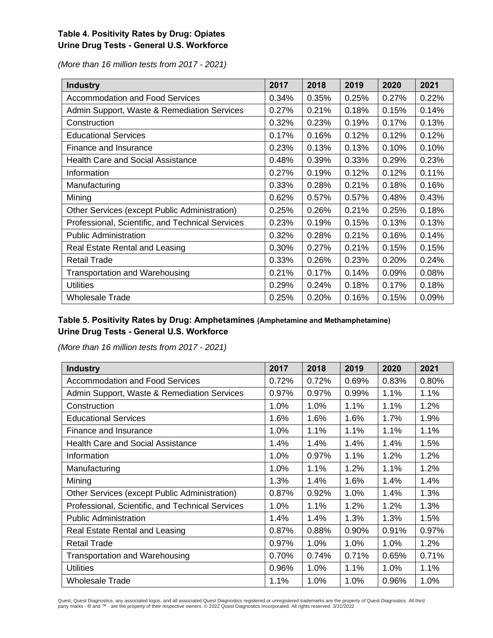## **Table 4. Positivity Rates by Drug: Opiates Urine Drug Tests - General U.S. Workforce**

*(More than 16 million tests from 2017 - 2021)*

| <b>Industry</b>                                  | 2017  | 2018  | 2019  | 2020  | 2021  |
|--------------------------------------------------|-------|-------|-------|-------|-------|
| <b>Accommodation and Food Services</b>           | 0.34% | 0.35% | 0.25% | 0.27% | 0.22% |
| Admin Support, Waste & Remediation Services      | 0.27% | 0.21% | 0.18% | 0.15% | 0.14% |
| Construction                                     | 0.32% | 0.23% | 0.19% | 0.17% | 0.13% |
| <b>Educational Services</b>                      | 0.17% | 0.16% | 0.12% | 0.12% | 0.12% |
| Finance and Insurance                            | 0.23% | 0.13% | 0.13% | 0.10% | 0.10% |
| <b>Health Care and Social Assistance</b>         | 0.48% | 0.39% | 0.33% | 0.29% | 0.23% |
| Information                                      | 0.27% | 0.19% | 0.12% | 0.12% | 0.11% |
| Manufacturing                                    | 0.33% | 0.28% | 0.21% | 0.18% | 0.16% |
| Mining                                           | 0.62% | 0.57% | 0.57% | 0.48% | 0.43% |
| Other Services (except Public Administration)    | 0.25% | 0.26% | 0.21% | 0.25% | 0.18% |
| Professional, Scientific, and Technical Services | 0.23% | 0.19% | 0.15% | 0.13% | 0.13% |
| <b>Public Administration</b>                     | 0.32% | 0.28% | 0.21% | 0.16% | 0.14% |
| Real Estate Rental and Leasing                   | 0.30% | 0.27% | 0.21% | 0.15% | 0.15% |
| <b>Retail Trade</b>                              | 0.33% | 0.26% | 0.23% | 0.20% | 0.24% |
| <b>Transportation and Warehousing</b>            | 0.21% | 0.17% | 0.14% | 0.09% | 0.08% |
| <b>Utilities</b>                                 | 0.29% | 0.24% | 0.18% | 0.17% | 0.18% |
| Wholesale Trade                                  | 0.25% | 0.20% | 0.16% | 0.15% | 0.09% |

## **Table 5. Positivity Rates by Drug: Amphetamines (Amphetamine and Methamphetamine) Urine Drug Tests - General U.S. Workforce**

*(More than 16 million tests from 2017 - 2021)*

| <b>Industry</b>                                  | 2017  | 2018  | 2019  | 2020  | 2021  |
|--------------------------------------------------|-------|-------|-------|-------|-------|
| <b>Accommodation and Food Services</b>           | 0.72% | 0.72% | 0.69% | 0.83% | 0.80% |
| Admin Support, Waste & Remediation Services      | 0.97% | 0.97% | 0.99% | 1.1%  | 1.1%  |
| Construction                                     | 1.0%  | 1.0%  | 1.1%  | 1.1%  | 1.2%  |
| <b>Educational Services</b>                      | 1.6%  | 1.6%  | 1.6%  | 1.7%  | 1.9%  |
| Finance and Insurance                            | 1.0%  | 1.1%  | 1.1%  | 1.1%  | 1.1%  |
| <b>Health Care and Social Assistance</b>         | 1.4%  | 1.4%  | 1.4%  | 1.4%  | 1.5%  |
| Information                                      | 1.0%  | 0.97% | 1.1%  | 1.2%  | 1.2%  |
| Manufacturing                                    | 1.0%  | 1.1%  | 1.2%  | 1.1%  | 1.2%  |
| Mining                                           | 1.3%  | 1.4%  | 1.6%  | 1.4%  | 1.4%  |
| Other Services (except Public Administration)    | 0.87% | 0.92% | 1.0%  | 1.4%  | 1.3%  |
| Professional, Scientific, and Technical Services | 1.0%  | 1.1%  | 1.2%  | 1.2%  | 1.3%  |
| <b>Public Administration</b>                     | 1.4%  | 1.4%  | 1.3%  | 1.3%  | 1.5%  |
| Real Estate Rental and Leasing                   | 0.87% | 0.88% | 0.90% | 0.91% | 0.97% |
| <b>Retail Trade</b>                              | 0.97% | 1.0%  | 1.0%  | 1.0%  | 1.2%  |
| <b>Transportation and Warehousing</b>            | 0.70% | 0.74% | 0.71% | 0.65% | 0.71% |
| <b>Utilities</b>                                 | 0.96% | 1.0%  | 1.1%  | 1.0%  | 1.1%  |
| <b>Wholesale Trade</b>                           | 1.1%  | 1.0%  | 1.0%  | 0.96% | 1.0%  |

Quest, Quest Diagnostics, any associated logos, and all associated Quest Diagnostics registered or unregistered trademarks are the property of Quest Diagnostics. All third<br>party marks - ® and ™ - are the property of their